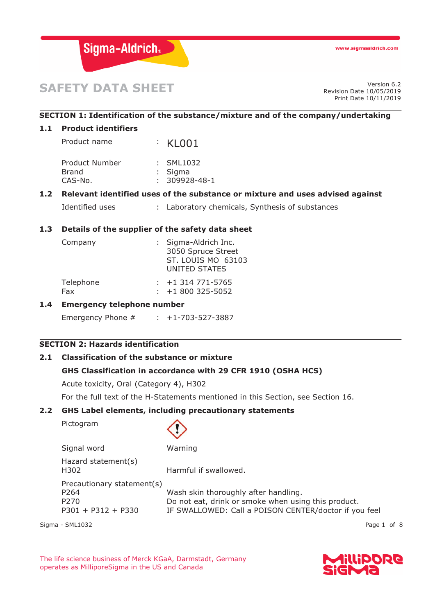

# **SAFETY DATA SHEET**

Revision Date 10/05/2019 Print Date 10/11/2019

# **SECTION 1: Identification of the substance/mixture and of the company/undertaking**

#### **1.1 Product identifiers**

| Product name   | KLO01               |  |
|----------------|---------------------|--|
| Product Number | : SML1032           |  |
| Brand          | : Sigma             |  |
| CAS-No.        | $: 309928 - 48 - 1$ |  |

# **1.2 Relevant identified uses of the substance or mixture and uses advised against**

Identified uses : Laboratory chemicals, Synthesis of substances

# **1.3 Details of the supplier of the safety data sheet**

| Company   | : Sigma-Aldrich Inc.<br>3050 Spruce Street<br>ST. LOUIS MO 63103<br>UNITED STATES |
|-----------|-----------------------------------------------------------------------------------|
| Telephone | $: +1314771 - 5765$                                                               |
| Fax       | $: +1800325 - 5052$                                                               |

### **1.4 Emergency telephone number**

Emergency Phone # : +1-703-527-3887

# **SECTION 2: Hazards identification**

# **2.1 Classification of the substance or mixture**

# **GHS Classification in accordance with 29 CFR 1910 (OSHA HCS)**

Acute toxicity, Oral (Category 4), H302

For the full text of the H-Statements mentioned in this Section, see Section 16.

#### **2.2 GHS Label elements, including precautionary statements**

Pictogram



| Signal word                 | Warning                                               |
|-----------------------------|-------------------------------------------------------|
| Hazard statement(s)<br>H302 | Harmful if swallowed.                                 |
| Precautionary statement(s)  |                                                       |
| P264                        | Wash skin thoroughly after handling.                  |
| P <sub>270</sub>            | Do not eat, drink or smoke when using this product.   |
| $P301 + P312 + P330$        | IF SWALLOWED: Call a POISON CENTER/doctor if you feel |

Sigma - SML1032 Page 1 of 8

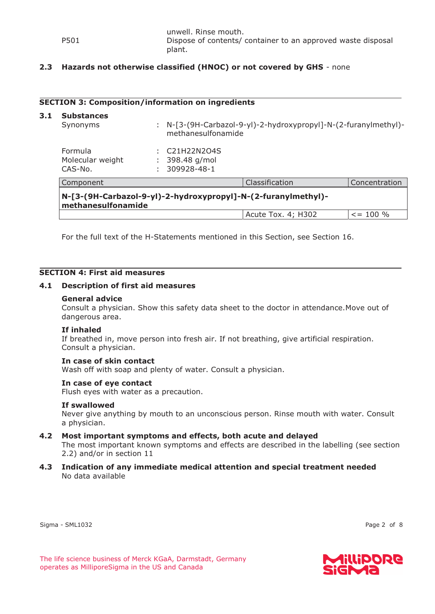**3.1** 

# **2.3 Hazards not otherwise classified (HNOC) or not covered by GHS** - none

#### **SECTION 3: Composition/information on ingredients**

| <b>Substances</b><br>Synonyms                                                       |  | N-[3-(9H-Carbazol-9-yl)-2-hydroxypropyl]-N-(2-furanylmethyl)-<br>methanesulfonamide |                    |               |
|-------------------------------------------------------------------------------------|--|-------------------------------------------------------------------------------------|--------------------|---------------|
| Formula<br>Molecular weight<br>CAS-No.                                              |  | C21H22N2O4S<br>398.48 g/mol<br>309928-48-1                                          |                    |               |
| Component                                                                           |  |                                                                                     | Classification     | Concentration |
| N-[3-(9H-Carbazol-9-yl)-2-hydroxypropyl]-N-(2-furanylmethyl)-<br>methanesulfonamide |  |                                                                                     |                    |               |
|                                                                                     |  |                                                                                     | Acute Tox. 4; H302 | $\le$ = 100 % |

For the full text of the H-Statements mentioned in this Section, see Section 16.

#### **SECTION 4: First aid measures**

#### **4.1 Description of first aid measures**

#### **General advice**

Consult a physician. Show this safety data sheet to the doctor in attendance.Move out of dangerous area.

#### **If inhaled**

If breathed in, move person into fresh air. If not breathing, give artificial respiration. Consult a physician.

#### **In case of skin contact**

Wash off with soap and plenty of water. Consult a physician.

#### **In case of eye contact**

Flush eyes with water as a precaution.

# **If swallowed**

Never give anything by mouth to an unconscious person. Rinse mouth with water. Consult a physician.

#### **4.2 Most important symptoms and effects, both acute and delayed**

The most important known symptoms and effects are described in the labelling (see section 2.2) and/or in section 11

**4.3 Indication of any immediate medical attention and special treatment needed**  No data available

Sigma - SML1032 Page 2 of 8

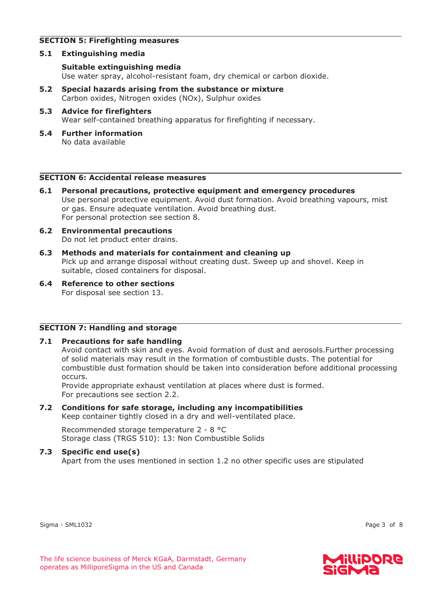# **SECTION 5: Firefighting measures**

# **5.1 Extinguishing media**

### **Suitable extinguishing media**  Use water spray, alcohol-resistant foam, dry chemical or carbon dioxide.

- **5.2 Special hazards arising from the substance or mixture**  Carbon oxides, Nitrogen oxides (NOx), Sulphur oxides
- **5.3 Advice for firefighters**  Wear self-contained breathing apparatus for firefighting if necessary.
- **5.4 Further information**  No data available

#### **SECTION 6: Accidental release measures**

- **6.1 Personal precautions, protective equipment and emergency procedures**  Use personal protective equipment. Avoid dust formation. Avoid breathing vapours, mist or gas. Ensure adequate ventilation. Avoid breathing dust. For personal protection see section 8.
- **6.2 Environmental precautions**  Do not let product enter drains.
- **6.3 Methods and materials for containment and cleaning up**  Pick up and arrange disposal without creating dust. Sweep up and shovel. Keep in suitable, closed containers for disposal.
- **6.4 Reference to other sections**  For disposal see section 13.

# **SECTION 7: Handling and storage**

# **7.1 Precautions for safe handling**

Avoid contact with skin and eyes. Avoid formation of dust and aerosols.Further processing of solid materials may result in the formation of combustible dusts. The potential for combustible dust formation should be taken into consideration before additional processing occurs.

Provide appropriate exhaust ventilation at places where dust is formed. For precautions see section 2.2.

# **7.2 Conditions for safe storage, including any incompatibilities**

Keep container tightly closed in a dry and well-ventilated place.

Recommended storage temperature 2 - 8 °C Storage class (TRGS 510): 13: Non Combustible Solids

# **7.3 Specific end use(s)**

Apart from the uses mentioned in section 1.2 no other specific uses are stipulated

Sigma - SML1032 Page 3 of 8

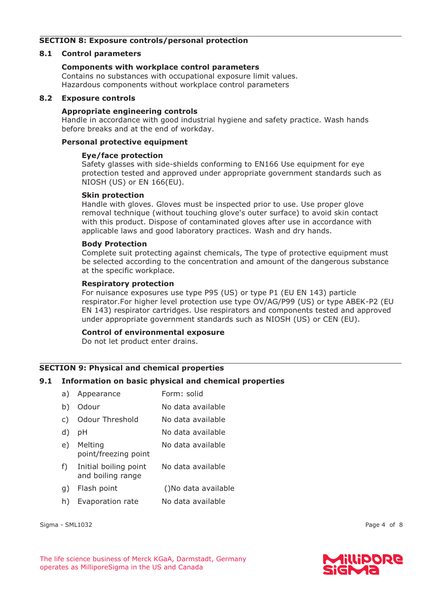# **SECTION 8: Exposure controls/personal protection**

### **8.1 Control parameters**

### **Components with workplace control parameters**

Contains no substances with occupational exposure limit values. Hazardous components without workplace control parameters

#### **8.2 Exposure controls**

#### **Appropriate engineering controls**

Handle in accordance with good industrial hygiene and safety practice. Wash hands before breaks and at the end of workday.

#### **Personal protective equipment**

### **Eye/face protection**

Safety glasses with side-shields conforming to EN166 Use equipment for eye protection tested and approved under appropriate government standards such as NIOSH (US) or EN 166(EU).

#### **Skin protection**

Handle with gloves. Gloves must be inspected prior to use. Use proper glove removal technique (without touching glove's outer surface) to avoid skin contact with this product. Dispose of contaminated gloves after use in accordance with applicable laws and good laboratory practices. Wash and dry hands.

#### **Body Protection**

Complete suit protecting against chemicals, The type of protective equipment must be selected according to the concentration and amount of the dangerous substance at the specific workplace.

#### **Respiratory protection**

For nuisance exposures use type P95 (US) or type P1 (EU EN 143) particle respirator.For higher level protection use type OV/AG/P99 (US) or type ABEK-P2 (EU EN 143) respirator cartridges. Use respirators and components tested and approved under appropriate government standards such as NIOSH (US) or CEN (EU).

#### **Control of environmental exposure**

Do not let product enter drains.

# **SECTION 9: Physical and chemical properties**

# **9.1 Information on basic physical and chemical properties**

| a) | Appearance                                 | Form: solid         |
|----|--------------------------------------------|---------------------|
| b) | Odour                                      | No data available   |
| C) | Odour Threshold                            | No data available   |
| d) | рH                                         | No data available   |
| e) | Melting<br>point/freezing point            | No data available   |
| f) | Initial boiling point<br>and boiling range | No data available   |
| q) | Flash point                                | ()No data available |
| h) | Evaporation rate                           | No data available   |
|    |                                            |                     |

Sigma - SML1032 Page 4 of 8

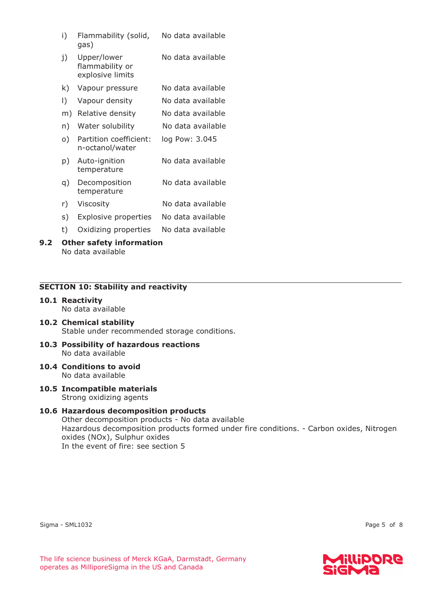| i) | Flammability (solid, | No data available |
|----|----------------------|-------------------|
|    | gas)                 |                   |

- j) Upper/lower flammability or explosive limits No data available
- k) Vapour pressure No data available
- l) Vapour density No data available
- m) Relative density No data available
- n) Water solubility No data available
- o) Partition coefficient: n-octanol/water log Pow: 3.045
- p) Auto-ignition temperature No data available
- q) Decomposition temperature No data available
- r) Viscosity No data available
- s) Explosive properties No data available
- t) Oxidizing properties No data available

#### **9.2 Other safety information**  No data available

# **SECTION 10: Stability and reactivity**

**10.1 Reactivity**  No data available

#### **10.2 Chemical stability**  Stable under recommended storage conditions.

- **10.3 Possibility of hazardous reactions**  No data available
- **10.4 Conditions to avoid**  No data available
- **10.5 Incompatible materials**  Strong oxidizing agents

# **10.6 Hazardous decomposition products**

Other decomposition products - No data available Hazardous decomposition products formed under fire conditions. - Carbon oxides, Nitrogen oxides (NOx), Sulphur oxides In the event of fire: see section 5

Sigma - SML1032 Page 5 of 8

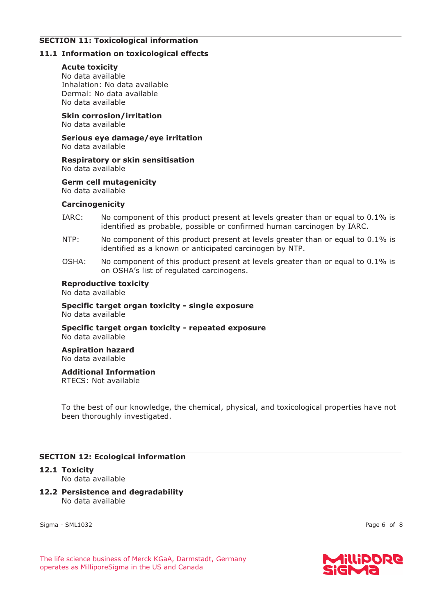# **SECTION 11: Toxicological information**

# **11.1 Information on toxicological effects**

# **Acute toxicity**

No data available Inhalation: No data available Dermal: No data available No data available

**Skin corrosion/irritation** 

No data available

**Serious eye damage/eye irritation**  No data available

**Respiratory or skin sensitisation**  No data available

**Germ cell mutagenicity**  No data available

# **Carcinogenicity**

- IARC: No component of this product present at levels greater than or equal to 0.1% is identified as probable, possible or confirmed human carcinogen by IARC.
- NTP: No component of this product present at levels greater than or equal to 0.1% is identified as a known or anticipated carcinogen by NTP.
- OSHA: No component of this product present at levels greater than or equal to 0.1% is on OSHA's list of regulated carcinogens.

# **Reproductive toxicity**

No data available

# **Specific target organ toxicity - single exposure**  No data available

**Specific target organ toxicity - repeated exposure**  No data available

#### **Aspiration hazard**  No data available

# **Additional Information**

RTECS: Not available

To the best of our knowledge, the chemical, physical, and toxicological properties have not been thoroughly investigated.

# **SECTION 12: Ecological information**

# **12.1 Toxicity**

No data available

# **12.2 Persistence and degradability**  No data available

Sigma - SML1032 Page 6 of 8

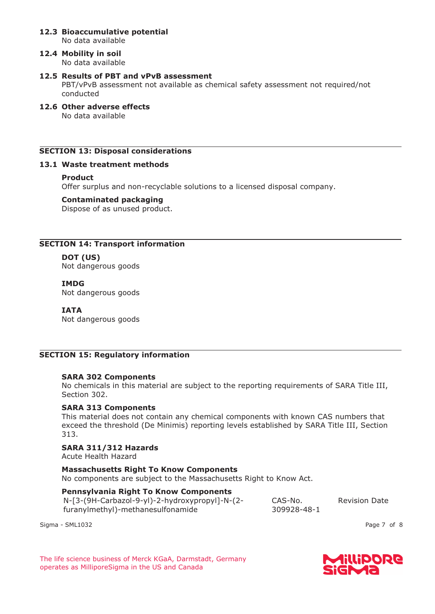#### **12.3 Bioaccumulative potential**  No data available

#### **12.4 Mobility in soil**  No data available

### **12.5 Results of PBT and vPvB assessment**

PBT/vPvB assessment not available as chemical safety assessment not required/not conducted

**12.6 Other adverse effects**  No data available

# **SECTION 13: Disposal considerations**

### **13.1 Waste treatment methods**

#### **Product**

Offer surplus and non-recyclable solutions to a licensed disposal company.

#### **Contaminated packaging**

Dispose of as unused product.

# **SECTION 14: Transport information**

# **DOT (US)**

Not dangerous goods

#### **IMDG**

Not dangerous goods

### **IATA**

Not dangerous goods

# **SECTION 15: Regulatory information**

# **SARA 302 Components**

No chemicals in this material are subject to the reporting requirements of SARA Title III, Section 302.

### **SARA 313 Components**

This material does not contain any chemical components with known CAS numbers that exceed the threshold (De Minimis) reporting levels established by SARA Title III, Section 313.

# **SARA 311/312 Hazards**

Acute Health Hazard

**Massachusetts Right To Know Components**  No components are subject to the Massachusetts Right to Know Act.

# **Pennsylvania Right To Know Components**

N-[3-(9H-Carbazol-9-yl)-2-hydroxypropyl]-N-(2 furanylmethyl)-methanesulfonamide

CAS-No. 309928-48-1 Revision Date

Sigma - SML1032 Page 7 of 8